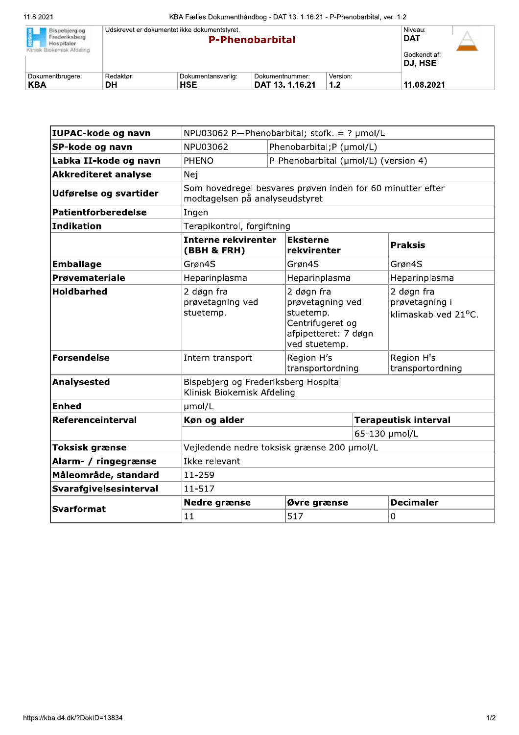| REGION<br>Bispebierg og<br>Frederiksberg<br>Hospitaler. | Udskrevet er dokumentet ikke dokumentstyret. | Niveau:<br><b>DAT</b>   |                 |          |            |  |
|---------------------------------------------------------|----------------------------------------------|-------------------------|-----------------|----------|------------|--|
| Klinisk Biokemisk Afdeling                              |                                              | Godkendt af:<br>DJ, HSE |                 |          |            |  |
| Dokumentbrugere:                                        | Redaktør:                                    | Dokumentansvarlig:      | Dokumentnummer: | Version: |            |  |
| KBA                                                     | DΗ                                           | <b>HSE</b>              | DAT 13. 1.16.21 | 1.2      | 11.08.2021 |  |

| <b>Svarformat</b>           | 11                                                                                           |  | 517                                                                                                      |               | 0                                                             |  |
|-----------------------------|----------------------------------------------------------------------------------------------|--|----------------------------------------------------------------------------------------------------------|---------------|---------------------------------------------------------------|--|
|                             | <b>Nedre grænse</b>                                                                          |  | Øvre grænse                                                                                              |               | <b>Decimaler</b>                                              |  |
| Svarafgivelsesinterval      | $11 - 517$                                                                                   |  |                                                                                                          |               |                                                               |  |
| Måleområde, standard        | 11-259                                                                                       |  |                                                                                                          |               |                                                               |  |
| Alarm- / ringegrænse        | Ikke relevant                                                                                |  |                                                                                                          |               |                                                               |  |
| <b>Toksisk grænse</b>       | Vejledende nedre toksisk grænse 200 µmol/L                                                   |  |                                                                                                          |               |                                                               |  |
|                             |                                                                                              |  |                                                                                                          | 65-130 µmol/L |                                                               |  |
| Referenceinterval           | Køn og alder<br><b>Terapeutisk interval</b>                                                  |  |                                                                                                          |               |                                                               |  |
| <b>Enhed</b>                | µmol/L                                                                                       |  |                                                                                                          |               |                                                               |  |
| <b>Analysested</b>          | Bispebjerg og Frederiksberg Hospital<br>Klinisk Biokemisk Afdeling                           |  |                                                                                                          |               |                                                               |  |
| <b>Forsendelse</b>          | Intern transport                                                                             |  | Region H's<br>transportordning                                                                           |               | Region H's<br>transportordning                                |  |
| <b>Holdbarhed</b>           | 2 døgn fra<br>prøvetagning ved<br>stuetemp.                                                  |  | 2 døgn fra<br>prøvetagning ved<br>stuetemp.<br>Centrifugeret og<br>afpipetteret: 7 døgn<br>ved stuetemp. |               | 2 døgn fra<br>prøvetagning i<br>klimaskab ved $21^{\circ}$ C. |  |
| <b>Prøvemateriale</b>       | Heparinplasma                                                                                |  | Heparinplasma                                                                                            |               | Heparinplasma                                                 |  |
| <b>Emballage</b>            | Grøn4S                                                                                       |  | Grøn4S                                                                                                   |               | Grøn4S                                                        |  |
|                             | <b>Interne rekvirenter</b><br>(BBH & FRH)                                                    |  | Eksterne<br>rekvirenter                                                                                  |               | <b>Praksis</b>                                                |  |
| <b>Indikation</b>           | Terapikontrol, forgiftning                                                                   |  |                                                                                                          |               |                                                               |  |
| <b>Patientforberedelse</b>  | Ingen                                                                                        |  |                                                                                                          |               |                                                               |  |
| Udførelse og svartider      | Som hovedregel besvares prøven inden for 60 minutter efter<br>modtagelsen på analyseudstyret |  |                                                                                                          |               |                                                               |  |
| <b>Akkrediteret analyse</b> | Nej                                                                                          |  |                                                                                                          |               |                                                               |  |
| Labka II-kode og navn       | P-Phenobarbital (µmol/L) (version 4)<br>PHENO                                                |  |                                                                                                          |               |                                                               |  |
| SP-kode og navn             | NPU03062<br>Phenobarbital; P (µmol/L)                                                        |  |                                                                                                          |               |                                                               |  |
| IUPAC-kode og navn          | NPU03062 P-Phenobarbital; stofk. = $?$ µmol/L                                                |  |                                                                                                          |               |                                                               |  |